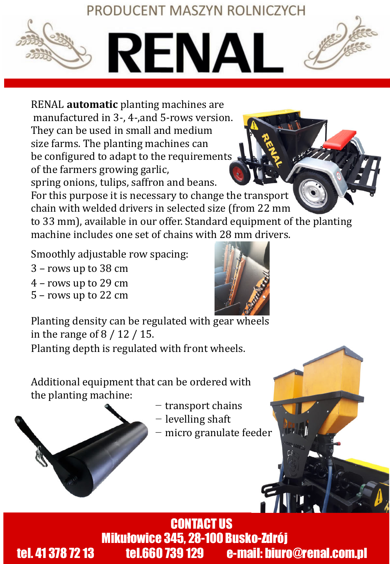## PRODUCENT MASZYN ROLNICZYCH



RENAL **automatic** planting machines are manufactured in 3-, 4-,and 5-rows version. They can be used in small and medium size farms. The planting machines can be configured to adapt to the requirements of the farmers growing garlic, spring onions, tulips, saffron and beans.

For this purpose it is necessary to change the transport chain with welded drivers in selected size (from 22 mm to 33 mm), available in our offer. Standard equipment of the planting machine includes one set of chains with 28 mm drivers.

Smoothly adjustable row spacing:

- 3 rows up to 38 cm
- 4 rows up to 29 cm
- 5 rows up to 22 cm



Planting density can be regulated with gear wheels in the range of 8 / 12 / 15.

Planting depth is regulated with front wheels.

Additional equipment that can be ordered with the planting machine:

- − transport chains
- − levelling shaft
- *<u>All Carried Contracts</u>* − micro granulate feeder

CONTACT US Mikułowice 345, 28-100 Busko-Zdrój tel. 41 378 72 13 tel.660 739 129 e-mail: biuro@renal.com.pl